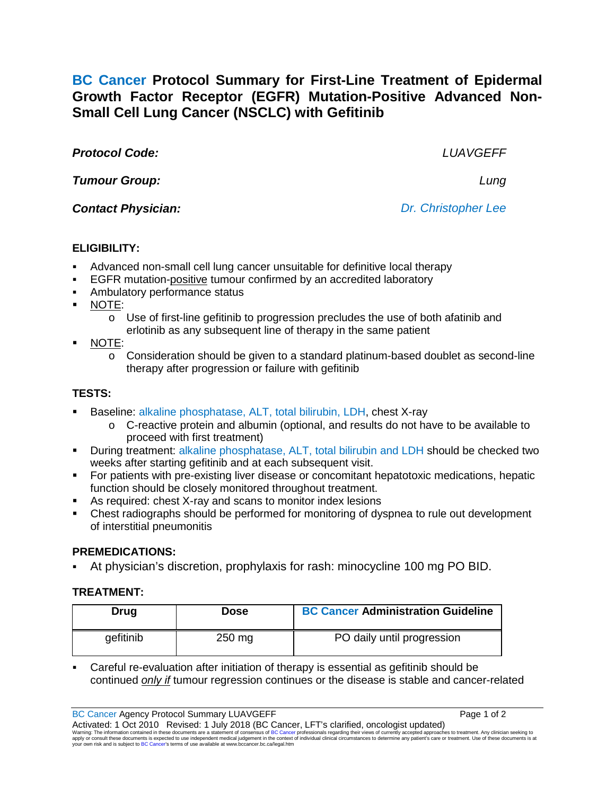**BC Cancer Protocol Summary for First-Line Treatment of Epidermal Growth Factor Receptor (EGFR) Mutation-Positive Advanced Non-Small Cell Lung Cancer (NSCLC) with Gefitinib**

*Protocol Code: LUAVGEFF*

*Tumour Group: Lung*

*Contact Physician: Dr. Christopher Lee*

# **ELIGIBILITY:**

- Advanced non-small cell lung cancer unsuitable for definitive local therapy
- EGFR mutation-positive tumour confirmed by an accredited laboratory
- Ambulatory performance status
- NOTE:
	- $\circ$  Use of first-line gefitinib to progression precludes the use of both afatinib and erlotinib as any subsequent line of therapy in the same patient
- NOTE:
	- $\circ$  Consideration should be given to a standard platinum-based doublet as second-line therapy after progression or failure with gefitinib

## **TESTS:**

- Baseline: alkaline phosphatase, ALT, total bilirubin, LDH, chest X-ray
	- o C-reactive protein and albumin (optional, and results do not have to be available to proceed with first treatment)
- **During treatment: alkaline phosphatase, ALT, total bilirubin and LDH should be checked two** weeks after starting gefitinib and at each subsequent visit.
- For patients with pre-existing liver disease or concomitant hepatotoxic medications, hepatic function should be closely monitored throughout treatment.
- As required: chest X-ray and scans to monitor index lesions
- Chest radiographs should be performed for monitoring of dyspnea to rule out development of interstitial pneumonitis

## **PREMEDICATIONS:**

At physician's discretion, prophylaxis for rash: minocycline 100 mg PO BID.

# **TREATMENT:**

| Drug      | Dose     | <b>BC Cancer Administration Guideline</b> |
|-----------|----------|-------------------------------------------|
| gefitinib | $250$ mg | PO daily until progression                |

 Careful re-evaluation after initiation of therapy is essential as gefitinib should be continued *only if* tumour regression continues or the disease is stable and cancer-related